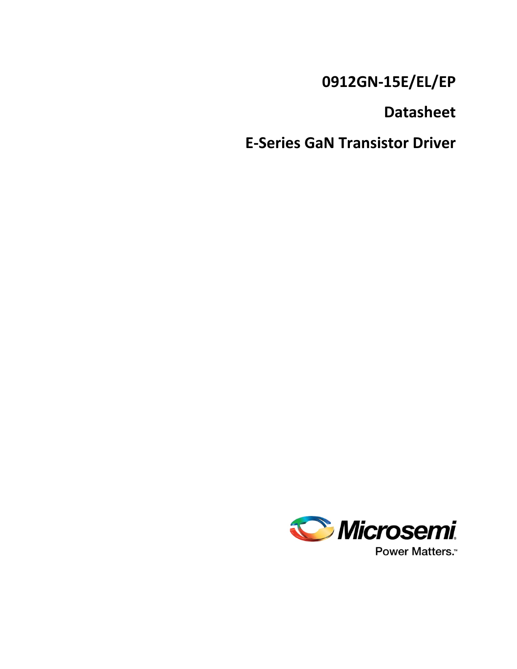# **0912GN-15E/EL/EP**

**Datasheet**

**E-Series GaN Transistor Driver**

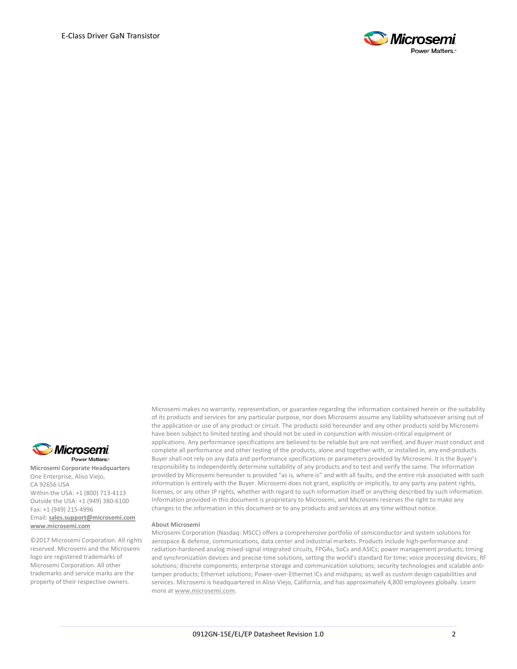



**Microsemi Corporate Headquarters** One Enterprise, Aliso Viejo, CA 92656 USA Within the USA: +1 (800) 713-4113 Outside the USA: +1 (949) 380-6100 Fax: +1 (949) 215-4996 Email: **[sales.support@microsemi.com](mailto:sales.support@microsemi.com) [www.microsemi.com](http://www.microsemi.com/)**

©2017 Microsemi Corporation. All rights reserved. Microsemi and the Microsemi logo are registered trademarks of Microsemi Corporation. All other trademarks and service marks are the property of their respective owners.

Microsemi makes no warranty, representation, or guarantee regarding the information contained herein or the suitability of its products and services for any particular purpose, nor does Microsemi assume any liability whatsoever arising out of the application or use of any product or circuit. The products sold hereunder and any other products sold by Microsemi have been subject to limited testing and should not be used in conjunction with mission-critical equipment or applications. Any performance specifications are believed to be reliable but are not verified, and Buyer must conduct and complete all performance and other testing of the products, alone and together with, or installed in, any end-products. Buyer shall not rely on any data and performance specifications or parameters provided by Microsemi. It is the Buyer's responsibility to independently determine suitability of any products and to test and verify the same. The information provided by Microsemi hereunder is provided "as is, where is" and with all faults, and the entire risk associated with such information is entirely with the Buyer. Microsemi does not grant, explicitly or implicitly, to any party any patent rights, licenses, or any other IP rights, whether with regard to such information itself or anything described by such information. Information provided in this document is proprietary to Microsemi, and Microsemi reserves the right to make any changes to the information in this document or to any products and services at any time without notice.

#### **About Microsemi**

Microsemi Corporation (Nasdaq: MSCC) offers a comprehensive portfolio of semiconductor and system solutions for aerospace & defense, communications, data center and industrial markets. Products include high-performance and radiation-hardened analog mixed-signal integrated circuits, FPGAs, SoCs and ASICs; power management products; timing and synchronization devices and precise time solutions, setting the world's standard for time; voice processing devices; RF solutions; discrete components; enterprise storage and communication solutions; security technologies and scalable antitamper products; Ethernet solutions; Power-over-Ethernet ICs and midspans; as well as custom design capabilities and services. Microsemi is headquartered in Aliso Viejo, California, and has approximately 4,800 employees globally. Learn more at **[www.microsemi.com.](http://www.microsemi.com/)**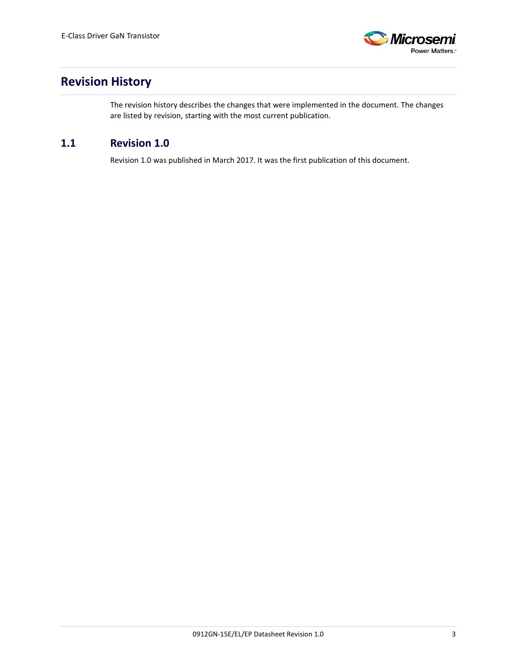

## <span id="page-2-0"></span>**Revision History**

The revision history describes the changes that were implemented in the document. The changes are listed by revision, starting with the most current publication.

## <span id="page-2-1"></span>**1.1 Revision 1.0**

Revision 1.0 was published in March 2017. It was the first publication of this document.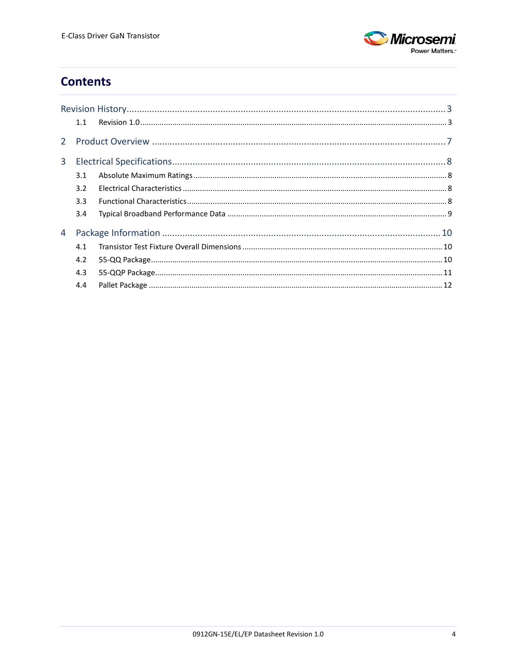

## **Contents**

|   | 1.1 |  |
|---|-----|--|
|   |     |  |
| 3 |     |  |
|   | 3.1 |  |
|   | 3.2 |  |
|   | 3.3 |  |
|   | 3.4 |  |
| 4 |     |  |
|   | 4.1 |  |
|   | 4.2 |  |
|   | 4.3 |  |
|   | 4.4 |  |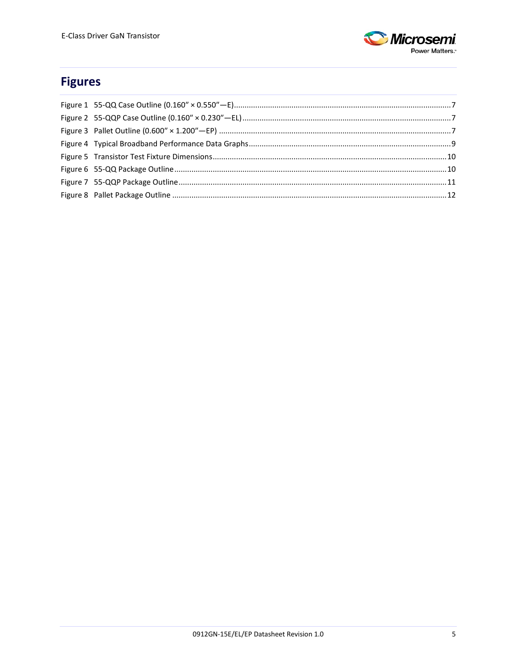

## **Figures**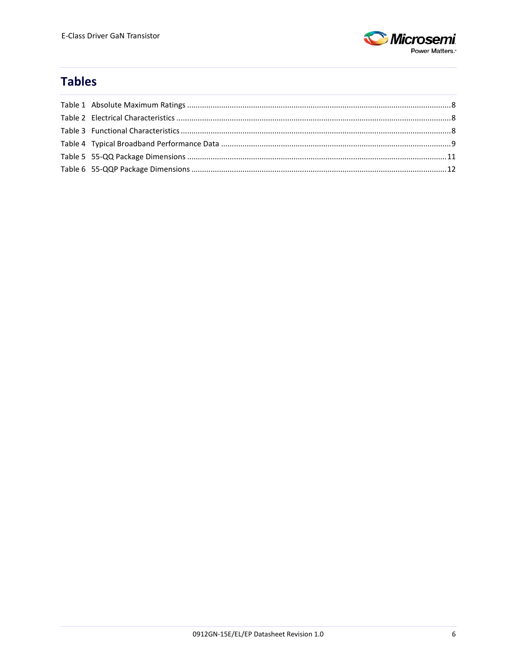

## **Tables**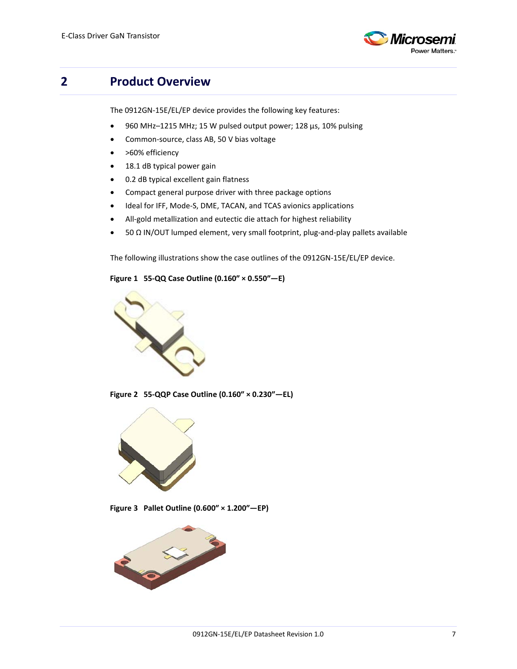

## <span id="page-6-0"></span>**2 Product Overview**

The 0912GN-15E/EL/EP device provides the following key features:

- 960 MHz–1215 MHz; 15 W pulsed output power; 128 μs, 10% pulsing
- Common-source, class AB, 50 V bias voltage
- >60% efficiency
- 18.1 dB typical power gain
- 0.2 dB typical excellent gain flatness
- Compact general purpose driver with three package options
- Ideal for IFF, Mode-S, DME, TACAN, and TCAS avionics applications
- All-gold metallization and eutectic die attach for highest reliability
- 50 Ω IN/OUT lumped element, very small footprint, plug-and-play pallets available

The following illustrations show the case outlines of the 0912GN-15E/EL/EP device.

#### <span id="page-6-1"></span>**Figure 1 55-QQ Case Outline (0.160″ × 0.550″—E)**



**Figure 2 55-QQP Case Outline (0.160″ × 0.230″—EL)**

<span id="page-6-2"></span>

**Figure 3 Pallet Outline (0.600″ × 1.200″—EP)**

<span id="page-6-3"></span>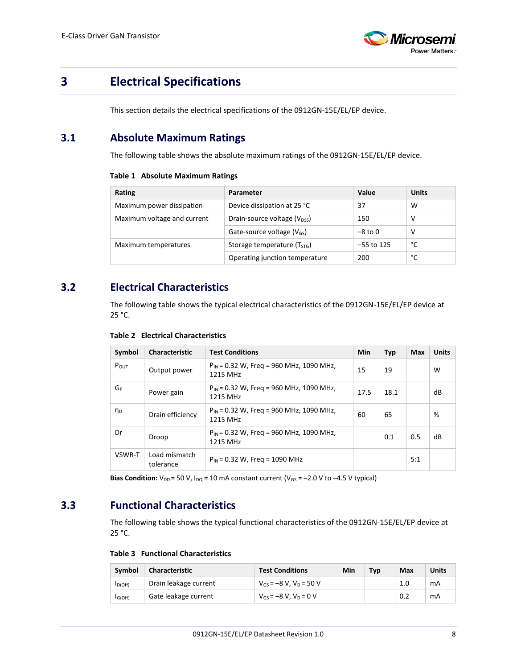

## <span id="page-7-0"></span>**3 Electrical Specifications**

This section details the electrical specifications of the 0912GN-15E/EL/EP device.

## <span id="page-7-4"></span><span id="page-7-1"></span>**3.1 Absolute Maximum Ratings**

The following table shows the absolute maximum ratings of the 0912GN-15E/EL/EP device.

#### **Table 1 Absolute Maximum Ratings**

| Rating                      | Parameter                               | Value        | <b>Units</b> |
|-----------------------------|-----------------------------------------|--------------|--------------|
| Maximum power dissipation   | Device dissipation at 25 °C             | 37           | w            |
| Maximum voltage and current | Drain-source voltage $(V_{DSS})$<br>150 |              | v            |
|                             | Gate-source voltage $(V_{GS})$          | $-8$ to $0$  | v            |
| Maximum temperatures        | Storage temperature (T <sub>STG</sub> ) | $-55$ to 125 | °C           |
|                             | Operating junction temperature          | 200          | °C           |

## <span id="page-7-5"></span><span id="page-7-2"></span>**3.2 Electrical Characteristics**

The following table shows the typical electrical characteristics of the 0912GN-15E/EL/EP device at 25 °C.

| Symbol         | <b>Characteristic</b>      | <b>Test Conditions</b>                                   | <b>Min</b> | Typ  | Max | <b>Units</b> |
|----------------|----------------------------|----------------------------------------------------------|------------|------|-----|--------------|
| $P_{OUT}$      | Output power               | $P_{IN}$ = 0.32 W, Freq = 960 MHz, 1090 MHz,<br>1215 MHz | 15         | 19   |     | W            |
| $G_P$          | Power gain                 | $P_{IN}$ = 0.32 W, Freg = 960 MHz, 1090 MHz,<br>1215 MHz | 17.5       | 18.1 |     | dB           |
| η <sub>D</sub> | Drain efficiency           | $P_{IN}$ = 0.32 W, Freg = 960 MHz, 1090 MHz,<br>1215 MHz | 60         | 65   |     | %            |
| Dr             | Droop                      | $P_{IN}$ = 0.32 W, Freg = 960 MHz, 1090 MHz,<br>1215 MHz |            | 0.1  | 0.5 | dB           |
| VSWR-T         | Load mismatch<br>tolerance | $P_{IN}$ = 0.32 W, Freq = 1090 MHz                       |            |      | 5:1 |              |

**Table 2 Electrical Characteristics**

**Bias Condition:**  $V_{DD}$  = 50 V,  $I_{DQ}$  = 10 mA constant current ( $V_{GS}$  = -2.0 V to -4.5 V typical)

## <span id="page-7-6"></span><span id="page-7-3"></span>**3.3 Functional Characteristics**

The following table shows the typical functional characteristics of the 0912GN-15E/EL/EP device at  $25 °C$ .

#### **Table 3 Functional Characteristics**

| Symbol               | Characteristic        | <b>Test Conditions</b>         | Min | Typ | Max | Units |
|----------------------|-----------------------|--------------------------------|-----|-----|-----|-------|
| I <sub>D</sub> (Off) | Drain leakage current | $V_{GS} = -8 V$ , $V_D = 50 V$ |     |     | 1.0 | mA    |
| $I_G(Off)$           | Gate leakage current  | $V_{GS} = -8 V$ , $V_D = 0 V$  |     |     | 0.2 | mA    |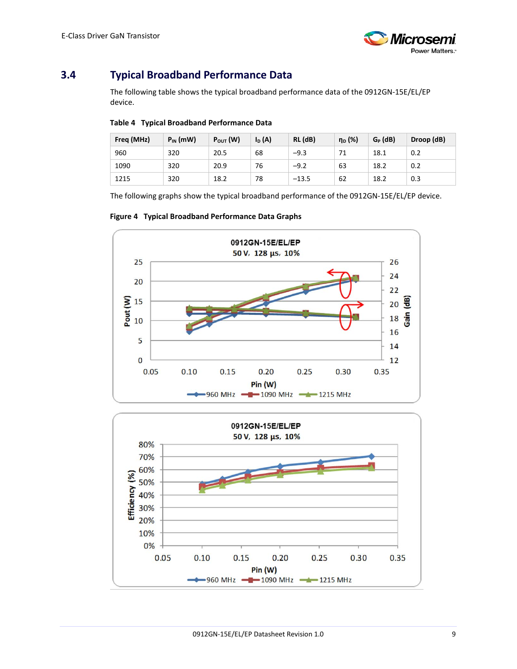

## <span id="page-8-2"></span><span id="page-8-0"></span>**3.4 Typical Broadband Performance Data**

The following table shows the typical broadband performance data of the 0912GN-15E/EL/EP device.

#### **Table 4 Typical Broadband Performance Data**

| Freq (MHz) | $P_{IN}$ (mW) | $P_{\text{OUT}}(W)$ | $I_{D}$ (A) | RL (dB) | η <sub>D</sub> (%) | $G_P$ (dB) | Droop (dB) |
|------------|---------------|---------------------|-------------|---------|--------------------|------------|------------|
| 960        | 320           | 20.5                | 68          | $-9.3$  | 71                 | 18.1       | 0.2        |
| 1090       | 320           | 20.9                | 76          | $-9.2$  | 63                 | 18.2       | 0.2        |
| 1215       | 320           | 18.2                | 78          | $-13.5$ | 62                 | 18.2       | 0.3        |

The following graphs show the typical broadband performance of the 0912GN-15E/EL/EP device.

<span id="page-8-1"></span>

#### **Figure 4 Typical Broadband Performance Data Graphs**

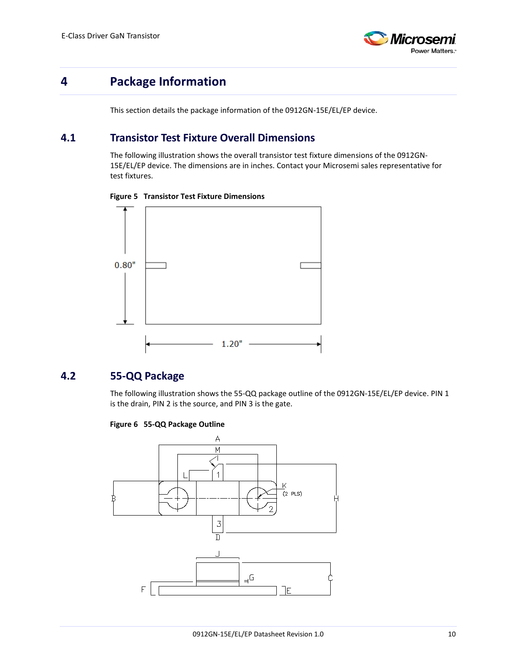

## <span id="page-9-0"></span>**4 Package Information**

This section details the package information of the 0912GN-15E/EL/EP device.

## <span id="page-9-1"></span>**4.1 Transistor Test Fixture Overall Dimensions**

The following illustration shows the overall transistor test fixture dimensions of the 0912GN-15E/EL/EP device. The dimensions are in inches. Contact your Microsemi sales representative for test fixtures.



<span id="page-9-3"></span>**Figure 5 Transistor Test Fixture Dimensions**

## <span id="page-9-4"></span><span id="page-9-2"></span>**4.2 55-QQ Package**

The following illustration shows the 55-QQ package outline of the 0912GN-15E/EL/EP device. PIN 1 is the drain, PIN 2 is the source, and PIN 3 is the gate.



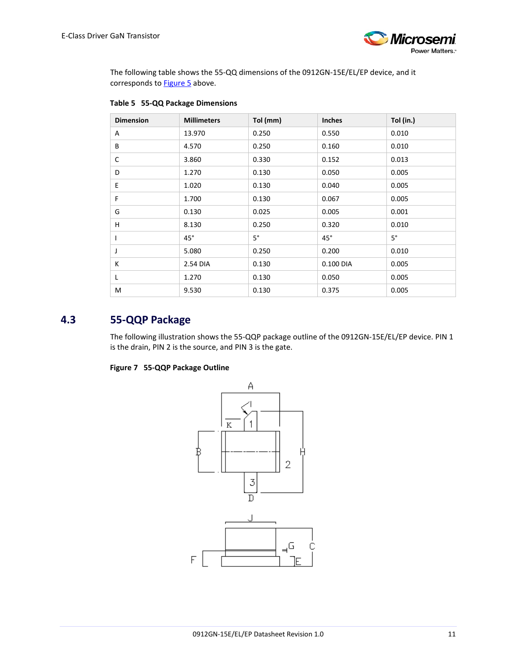

The following table shows the 55-QQ dimensions of the 0912GN-15E/EL/EP device, and it corresponds to **Figure 5** above.

| <b>Dimension</b> | <b>Millimeters</b> | Tol (mm)    | <b>Inches</b> | Tol (in.)   |
|------------------|--------------------|-------------|---------------|-------------|
| A                | 13.970             | 0.250       | 0.550         | 0.010       |
| B                | 4.570              | 0.250       | 0.160         | 0.010       |
| C                | 3.860              | 0.330       | 0.152         | 0.013       |
| D                | 1.270              | 0.130       | 0.050         | 0.005       |
| E                | 1.020              | 0.130       | 0.040         | 0.005       |
| F                | 1.700              | 0.130       | 0.067         | 0.005       |
| G                | 0.130              | 0.025       | 0.005         | 0.001       |
| Н                | 8.130              | 0.250       | 0.320         | 0.010       |
|                  | $45^\circ$         | $5^{\circ}$ | $45^{\circ}$  | $5^{\circ}$ |
| J                | 5.080              | 0.250       | 0.200         | 0.010       |
| К                | 2.54 DIA           | 0.130       | 0.100 DIA     | 0.005       |
| L                | 1.270              | 0.130       | 0.050         | 0.005       |
| M                | 9.530              | 0.130       | 0.375         | 0.005       |

### <span id="page-10-2"></span>**Table 5 55-QQ Package Dimensions**

### <span id="page-10-1"></span><span id="page-10-0"></span>**4.3 55-QQP Package**

The following illustration shows the 55-QQP package outline of the 0912GN-15E/EL/EP device. PIN 1 is the drain, PIN 2 is the source, and PIN 3 is the gate.

#### **Figure 7 55-QQP Package Outline**